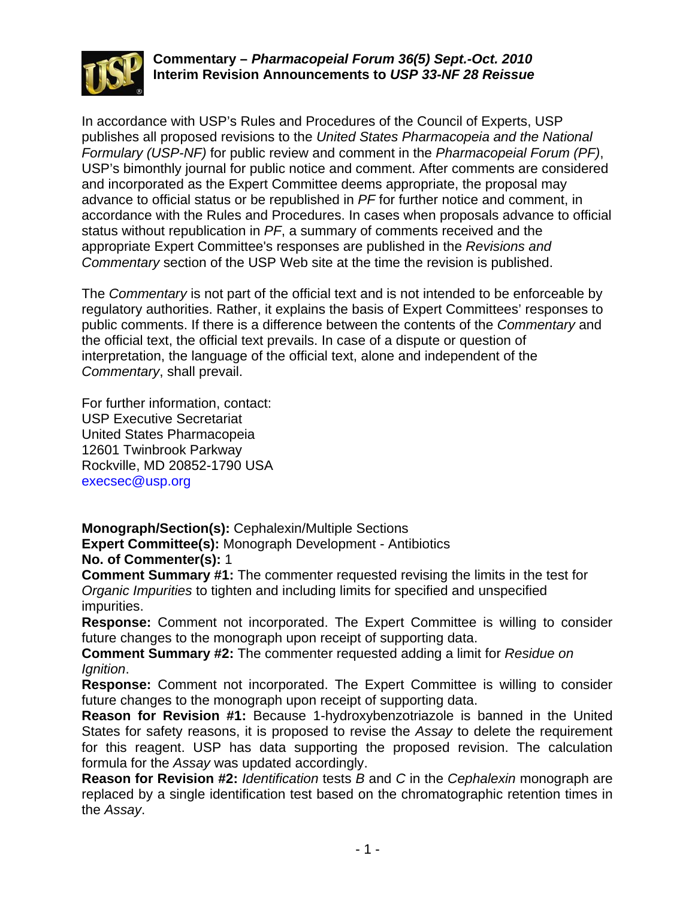

## **Commentary –** *Pharmacopeial Forum 36(5) Sept.-Oct. 2010* **Interim Revision Announcements to** *USP 33-NF 28 Reissue*

In accordance with USP's Rules and Procedures of the Council of Experts, USP publishes all proposed revisions to the *United States Pharmacopeia and the National Formulary (USP-NF)* for public review and comment in the *Pharmacopeial Forum (PF)*, USP's bimonthly journal for public notice and comment. After comments are considered and incorporated as the Expert Committee deems appropriate, the proposal may advance to official status or be republished in *PF* for further notice and comment, in accordance with the Rules and Procedures. In cases when proposals advance to official status without republication in *PF*, a summary of comments received and the appropriate Expert Committee's responses are published in the *Revisions and Commentary* section of the USP Web site at the time the revision is published.

The *Commentary* is not part of the official text and is not intended to be enforceable by regulatory authorities. Rather, it explains the basis of Expert Committees' responses to public comments. If there is a difference between the contents of the *Commentary* and the official text, the official text prevails. In case of a dispute or question of interpretation, the language of the official text, alone and independent of the *Commentary*, shall prevail.

For further information, contact: USP Executive Secretariat United States Pharmacopeia 12601 Twinbrook Parkway Rockville, MD 20852-1790 USA execsec@usp.org

**Monograph/Section(s):** Cephalexin/Multiple Sections

**Expert Committee(s):** Monograph Development - Antibiotics **No. of Commenter(s):** 1

**Comment Summary #1:** The commenter requested revising the limits in the test for *Organic Impurities* to tighten and including limits for specified and unspecified impurities.

**Response:** Comment not incorporated. The Expert Committee is willing to consider future changes to the monograph upon receipt of supporting data.

**Comment Summary #2:** The commenter requested adding a limit for *Residue on Ignition*.

**Response:** Comment not incorporated. The Expert Committee is willing to consider future changes to the monograph upon receipt of supporting data.

**Reason for Revision #1:** Because 1-hydroxybenzotriazole is banned in the United States for safety reasons, it is proposed to revise the *Assay* to delete the requirement for this reagent. USP has data supporting the proposed revision. The calculation formula for the *Assay* was updated accordingly.

**Reason for Revision #2:** *Identification* tests *B* and *C* in the *Cephalexin* monograph are replaced by a single identification test based on the chromatographic retention times in the *Assay*.